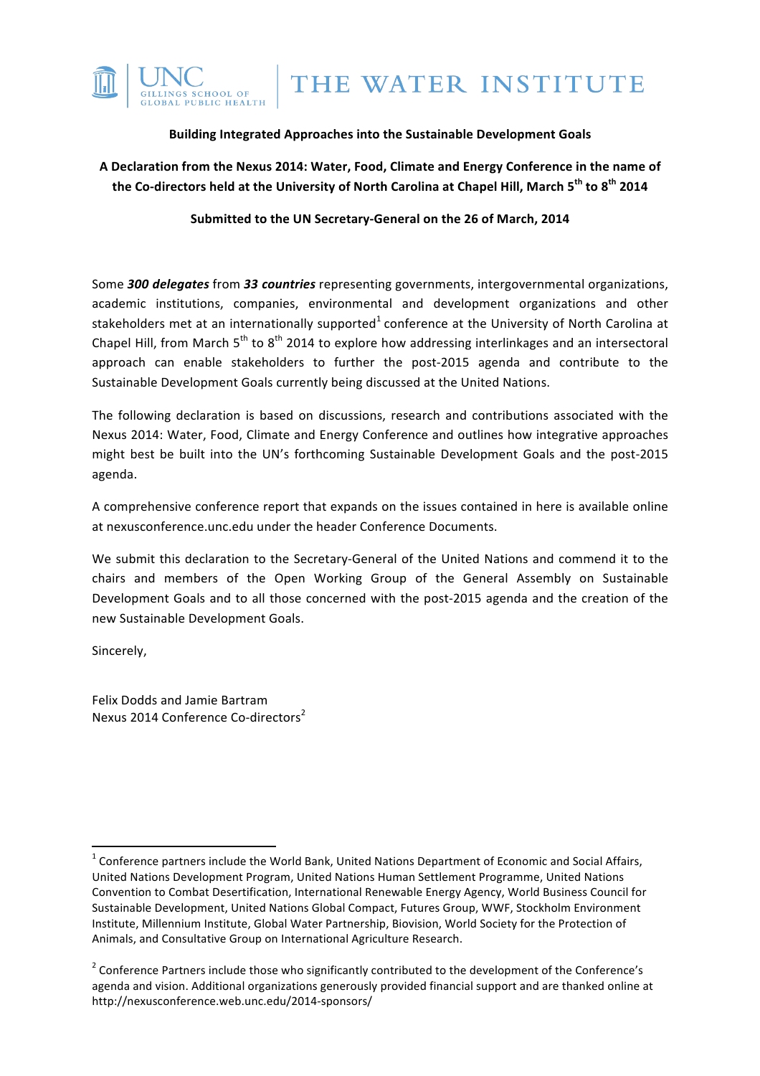

# **Building Integrated Approaches into the Sustainable Development Goals**

A Declaration from the Nexus 2014: Water, Food, Climate and Energy Conference in the name of **the Co-directors held at the University of North Carolina at Chapel Hill, March 5th to 8th 2014**

Submitted to the UN Secretary-General on the 26 of March, 2014

Some **300 delegates** from 33 countries representing governments, intergovernmental organizations, academic institutions, companies, environmental and development organizations and other stakeholders met at an internationally supported<sup>1</sup> conference at the University of North Carolina at Chapel Hill, from March  $5<sup>th</sup>$  to  $8<sup>th</sup>$  2014 to explore how addressing interlinkages and an intersectoral approach can enable stakeholders to further the post-2015 agenda and contribute to the Sustainable Development Goals currently being discussed at the United Nations.

The following declaration is based on discussions, research and contributions associated with the Nexus 2014: Water, Food, Climate and Energy Conference and outlines how integrative approaches might best be built into the UN's forthcoming Sustainable Development Goals and the post-2015 agenda. 

A comprehensive conference report that expands on the issues contained in here is available online at nexusconference.unc.edu under the header Conference Documents.

We submit this declaration to the Secretary-General of the United Nations and commend it to the chairs and members of the Open Working Group of the General Assembly on Sustainable Development Goals and to all those concerned with the post-2015 agenda and the creation of the new Sustainable Development Goals.

Sincerely,

Felix Dodds and Jamie Bartram Nexus 2014 Conference Co-directors<sup>2</sup>

<u> 1989 - Jan Samuel Barbara, margaret e</u>

 $1$  Conference partners include the World Bank, United Nations Department of Economic and Social Affairs, United Nations Development Program, United Nations Human Settlement Programme, United Nations Convention to Combat Desertification, International Renewable Energy Agency, World Business Council for Sustainable Development, United Nations Global Compact, Futures Group, WWF, Stockholm Environment Institute, Millennium Institute, Global Water Partnership, Biovision, World Society for the Protection of Animals, and Consultative Group on International Agriculture Research.

<sup>&</sup>lt;sup>2</sup> Conference Partners include those who significantly contributed to the development of the Conference's agenda and vision. Additional organizations generously provided financial support and are thanked online at http://nexusconference.web.unc.edu/2014-sponsors/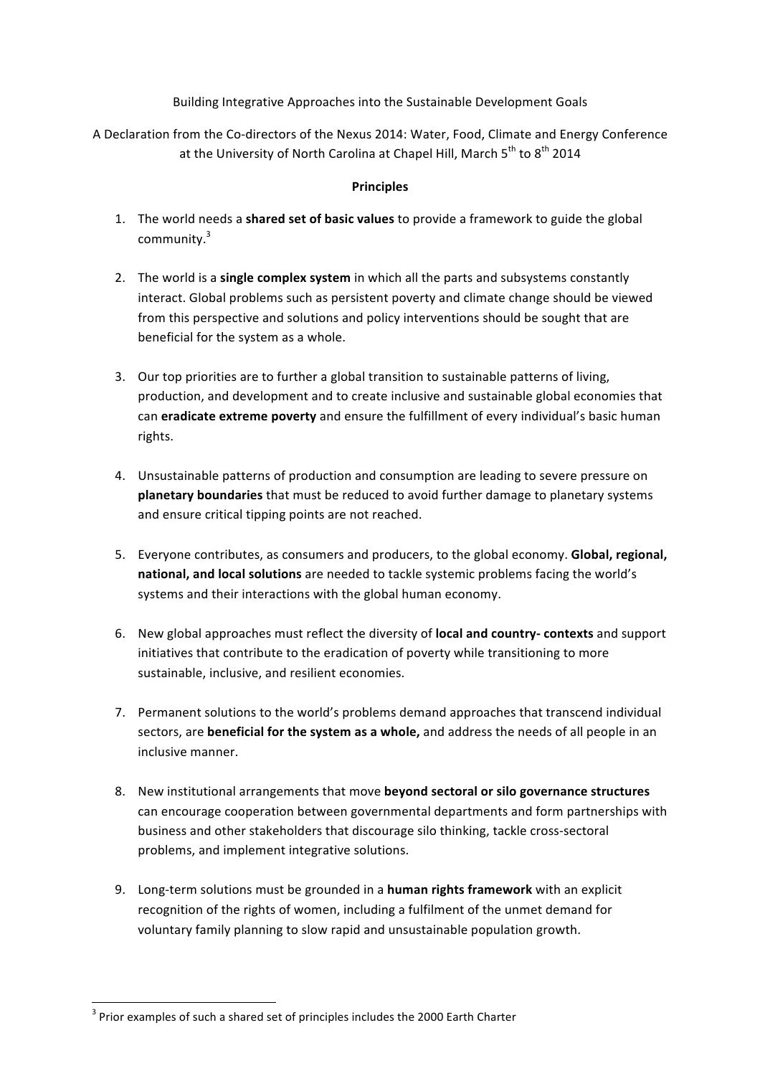Building Integrative Approaches into the Sustainable Development Goals

A Declaration from the Co-directors of the Nexus 2014: Water, Food, Climate and Energy Conference at the University of North Carolina at Chapel Hill, March  $5^{th}$  to  $8^{th}$  2014

## **Principles**

- 1. The world needs a **shared set of basic values** to provide a framework to guide the global community.<sup>3</sup>
- 2. The world is a single complex system in which all the parts and subsystems constantly interact. Global problems such as persistent poverty and climate change should be viewed from this perspective and solutions and policy interventions should be sought that are beneficial for the system as a whole.
- 3. Our top priorities are to further a global transition to sustainable patterns of living, production, and development and to create inclusive and sustainable global economies that can **eradicate extreme poverty** and ensure the fulfillment of every individual's basic human rights.
- 4. Unsustainable patterns of production and consumption are leading to severe pressure on **planetary boundaries** that must be reduced to avoid further damage to planetary systems and ensure critical tipping points are not reached.
- 5. Everyone contributes, as consumers and producers, to the global economy. **Global, regional,** national, and local solutions are needed to tackle systemic problems facing the world's systems and their interactions with the global human economy.
- 6. New global approaches must reflect the diversity of **local and country- contexts** and support initiatives that contribute to the eradication of poverty while transitioning to more sustainable, inclusive, and resilient economies.
- 7. Permanent solutions to the world's problems demand approaches that transcend individual sectors, are **beneficial for the system as a whole,** and address the needs of all people in an inclusive manner.
- 8. New institutional arrangements that move **beyond sectoral or silo governance structures** can encourage cooperation between governmental departments and form partnerships with business and other stakeholders that discourage silo thinking, tackle cross-sectoral problems, and implement integrative solutions.
- 9. Long-term solutions must be grounded in a **human rights framework** with an explicit recognition of the rights of women, including a fulfilment of the unmet demand for voluntary family planning to slow rapid and unsustainable population growth.

<u> 1989 - Jan Samuel Barbara, margaret e</u>

 $3$  Prior examples of such a shared set of principles includes the 2000 Earth Charter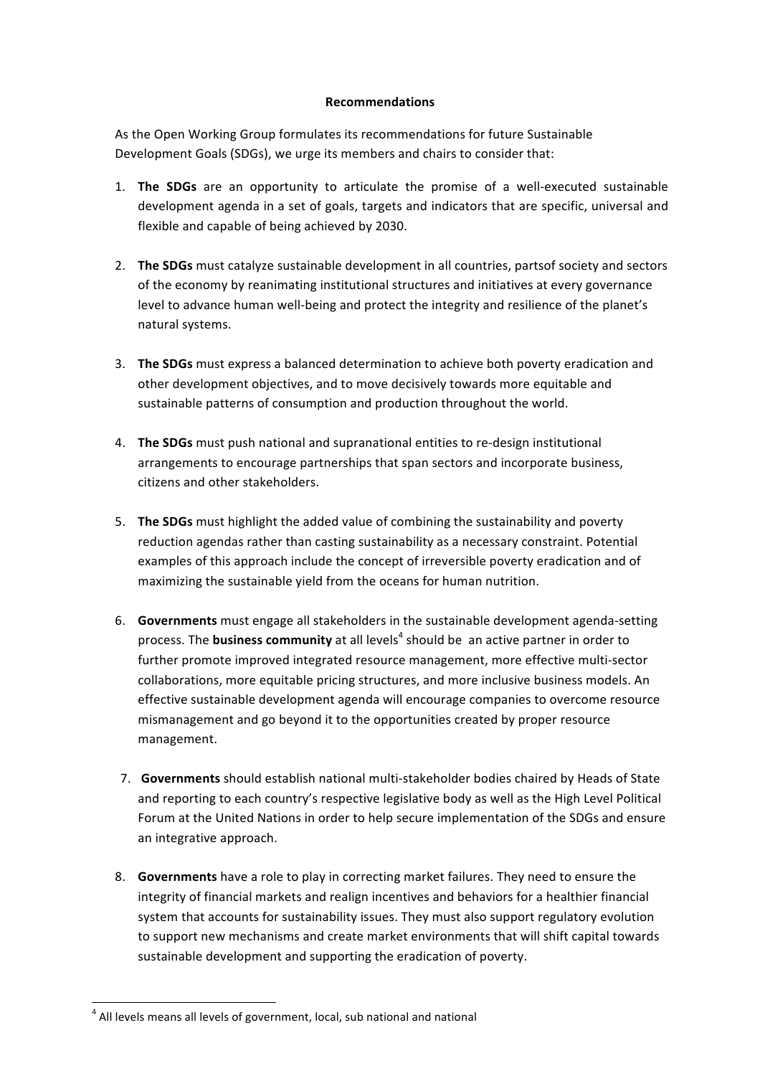#### **Recommendations**

As the Open Working Group formulates its recommendations for future Sustainable Development Goals (SDGs), we urge its members and chairs to consider that:

- 1. **The SDGs** are an opportunity to articulate the promise of a well-executed sustainable development agenda in a set of goals, targets and indicators that are specific, universal and flexible and capable of being achieved by 2030.
- 2. The SDGs must catalyze sustainable development in all countries, partsof society and sectors of the economy by reanimating institutional structures and initiatives at every governance level to advance human well-being and protect the integrity and resilience of the planet's natural systems.
- 3. The SDGs must express a balanced determination to achieve both poverty eradication and other development objectives, and to move decisively towards more equitable and sustainable patterns of consumption and production throughout the world.
- 4. **The SDGs** must push national and supranational entities to re-design institutional arrangements to encourage partnerships that span sectors and incorporate business, citizens and other stakeholders.
- 5. **The SDGs** must highlight the added value of combining the sustainability and poverty reduction agendas rather than casting sustainability as a necessary constraint. Potential examples of this approach include the concept of irreversible poverty eradication and of maximizing the sustainable yield from the oceans for human nutrition.
- 6. Governments must engage all stakeholders in the sustainable development agenda-setting process. The **business community** at all levels<sup>4</sup> should be an active partner in order to further promote improved integrated resource management, more effective multi-sector collaborations, more equitable pricing structures, and more inclusive business models. An effective sustainable development agenda will encourage companies to overcome resource mismanagement and go beyond it to the opportunities created by proper resource management.
- 7. **Governments** should establish national multi-stakeholder bodies chaired by Heads of State and reporting to each country's respective legislative body as well as the High Level Political Forum at the United Nations in order to help secure implementation of the SDGs and ensure an integrative approach.
- 8. Governments have a role to play in correcting market failures. They need to ensure the integrity of financial markets and realign incentives and behaviors for a healthier financial system that accounts for sustainability issues. They must also support regulatory evolution to support new mechanisms and create market environments that will shift capital towards sustainable development and supporting the eradication of poverty.

<u> 1989 - Jan Samuel Barbara, margaret e</u>

 $4$  All levels means all levels of government, local, sub national and national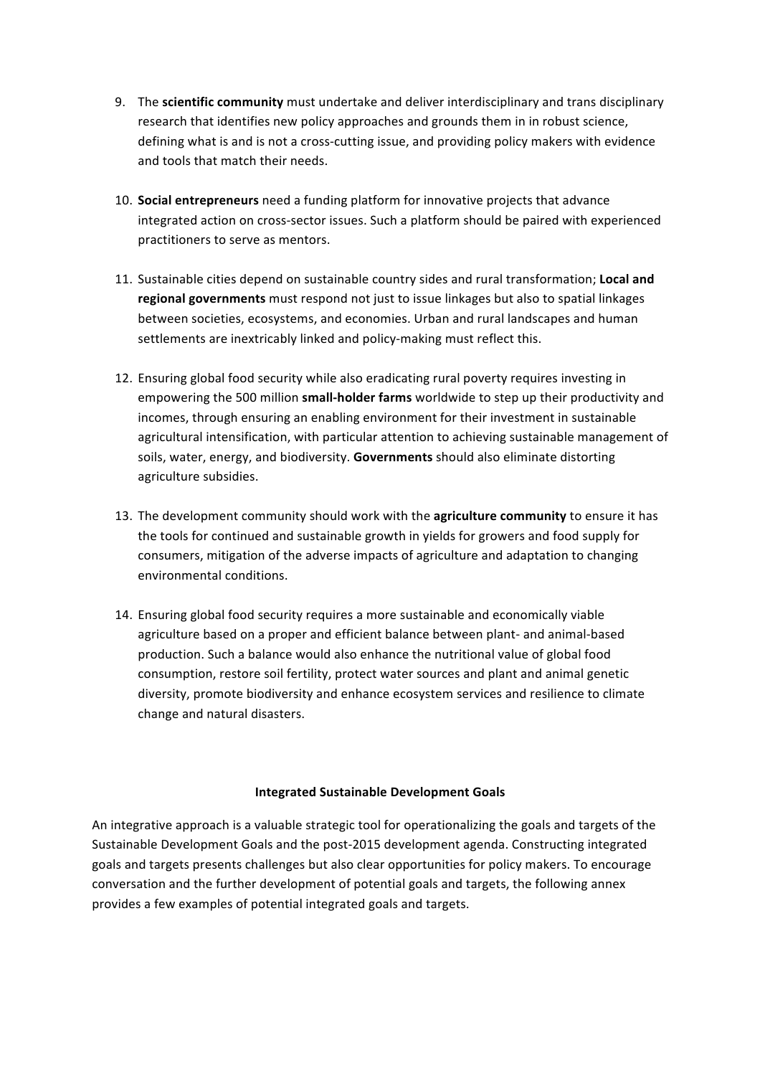- 9. The **scientific community** must undertake and deliver interdisciplinary and trans disciplinary research that identifies new policy approaches and grounds them in in robust science, defining what is and is not a cross-cutting issue, and providing policy makers with evidence and tools that match their needs.
- 10. **Social entrepreneurs** need a funding platform for innovative projects that advance integrated action on cross-sector issues. Such a platform should be paired with experienced practitioners to serve as mentors.
- 11. Sustainable cities depend on sustainable country sides and rural transformation; **Local and** regional governments must respond not just to issue linkages but also to spatial linkages between societies, ecosystems, and economies. Urban and rural landscapes and human settlements are inextricably linked and policy-making must reflect this.
- 12. Ensuring global food security while also eradicating rural poverty requires investing in empowering the 500 million small-holder farms worldwide to step up their productivity and incomes, through ensuring an enabling environment for their investment in sustainable agricultural intensification, with particular attention to achieving sustainable management of soils, water, energy, and biodiversity. Governments should also eliminate distorting agriculture subsidies.
- 13. The development community should work with the **agriculture community** to ensure it has the tools for continued and sustainable growth in yields for growers and food supply for consumers, mitigation of the adverse impacts of agriculture and adaptation to changing environmental conditions.
- 14. Ensuring global food security requires a more sustainable and economically viable agriculture based on a proper and efficient balance between plant- and animal-based production. Such a balance would also enhance the nutritional value of global food consumption, restore soil fertility, protect water sources and plant and animal genetic diversity, promote biodiversity and enhance ecosystem services and resilience to climate change and natural disasters.

### **Integrated Sustainable Development Goals**

An integrative approach is a valuable strategic tool for operationalizing the goals and targets of the Sustainable Development Goals and the post-2015 development agenda. Constructing integrated goals and targets presents challenges but also clear opportunities for policy makers. To encourage conversation and the further development of potential goals and targets, the following annex provides a few examples of potential integrated goals and targets.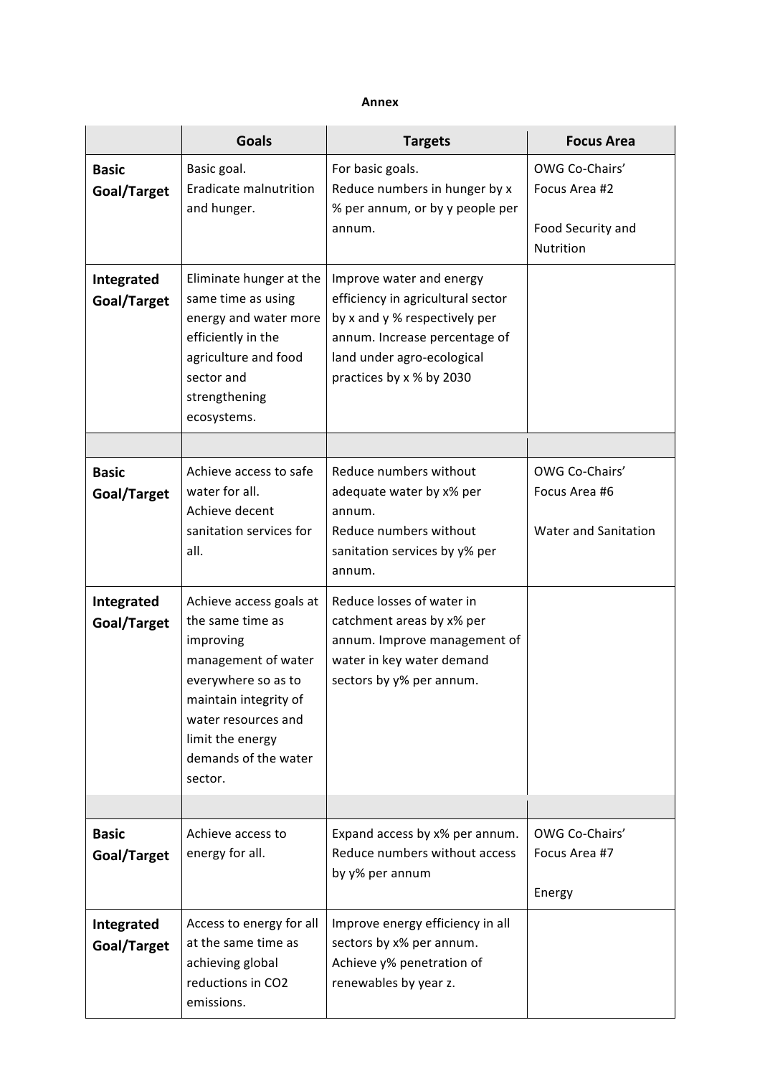#### **Annex**

|                                           | <b>Goals</b>                                                                                                                                                                       | <b>Targets</b>                                                                                                                                                                            | <b>Focus Area</b>                                                 |
|-------------------------------------------|------------------------------------------------------------------------------------------------------------------------------------------------------------------------------------|-------------------------------------------------------------------------------------------------------------------------------------------------------------------------------------------|-------------------------------------------------------------------|
| <b>Basic</b><br>Goal/Target               | Basic goal.<br>Eradicate malnutrition<br>and hunger.                                                                                                                               | For basic goals.<br>Reduce numbers in hunger by x<br>% per annum, or by y people per<br>annum.                                                                                            | OWG Co-Chairs'<br>Focus Area #2<br>Food Security and<br>Nutrition |
| Integrated<br>Goal/Target                 | Eliminate hunger at the<br>same time as using<br>energy and water more<br>efficiently in the<br>agriculture and food<br>sector and<br>strengthening<br>ecosystems.                 | Improve water and energy<br>efficiency in agricultural sector<br>by x and y % respectively per<br>annum. Increase percentage of<br>land under agro-ecological<br>practices by x % by 2030 |                                                                   |
|                                           |                                                                                                                                                                                    |                                                                                                                                                                                           |                                                                   |
| <b>Basic</b><br>Goal/Target<br>Integrated | Achieve access to safe<br>water for all.<br>Achieve decent<br>sanitation services for<br>all.<br>Achieve access goals at                                                           | Reduce numbers without<br>adequate water by x% per<br>annum.<br>Reduce numbers without<br>sanitation services by y% per<br>annum.<br>Reduce losses of water in                            | OWG Co-Chairs'<br>Focus Area #6<br>Water and Sanitation           |
| Goal/Target                               | the same time as<br>improving<br>management of water<br>everywhere so as to<br>maintain integrity of<br>water resources and<br>limit the energy<br>demands of the water<br>sector. | catchment areas by x% per<br>annum. Improve management of<br>water in key water demand<br>sectors by y% per annum.                                                                        |                                                                   |
|                                           |                                                                                                                                                                                    |                                                                                                                                                                                           |                                                                   |
| <b>Basic</b><br>Goal/Target               | Achieve access to<br>energy for all.                                                                                                                                               | Expand access by x% per annum.<br>Reduce numbers without access<br>by y% per annum                                                                                                        | OWG Co-Chairs'<br>Focus Area #7<br>Energy                         |
| Integrated<br>Goal/Target                 | Access to energy for all<br>at the same time as<br>achieving global<br>reductions in CO2<br>emissions.                                                                             | Improve energy efficiency in all<br>sectors by x% per annum.<br>Achieve y% penetration of<br>renewables by year z.                                                                        |                                                                   |